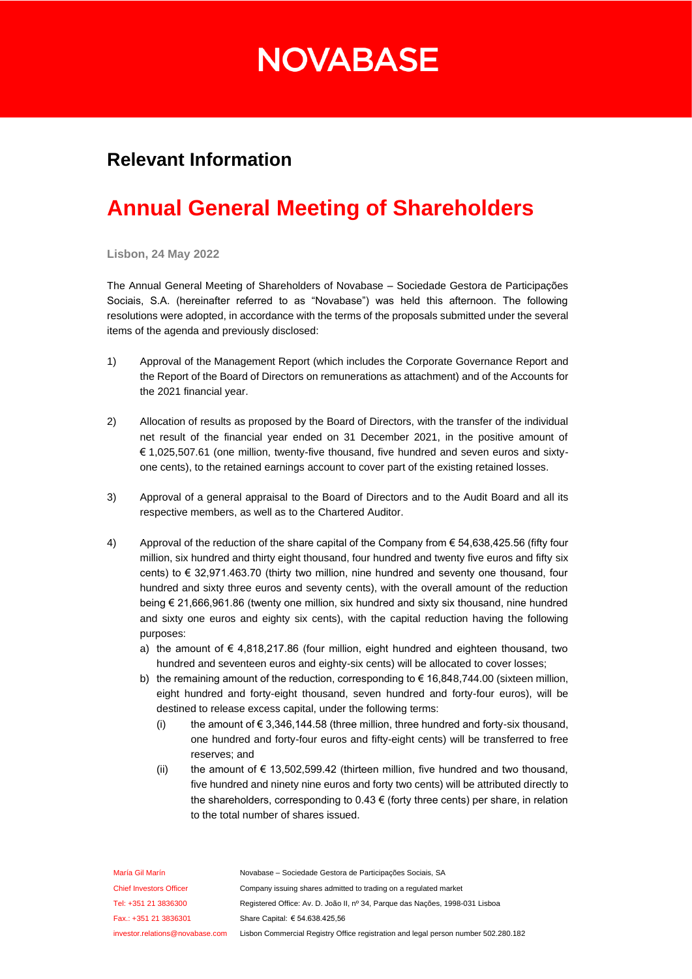## **NOVABASE**

### **Relevant Information**

## **Annual General Meeting of Shareholders**

**Lisbon, 24 May 2022**

The Annual General Meeting of Shareholders of Novabase – Sociedade Gestora de Participações Sociais, S.A. (hereinafter referred to as "Novabase") was held this afternoon. The following resolutions were adopted, in accordance with the terms of the proposals submitted under the several items of the agenda and previously disclosed:

- 1) Approval of the Management Report (which includes the Corporate Governance Report and the Report of the Board of Directors on remunerations as attachment) and of the Accounts for the 2021 financial year.
- 2) Allocation of results as proposed by the Board of Directors, with the transfer of the individual net result of the financial year ended on 31 December 2021, in the positive amount of € 1,025,507.61 (one million, twenty-five thousand, five hundred and seven euros and sixtyone cents), to the retained earnings account to cover part of the existing retained losses.
- 3) Approval of a general appraisal to the Board of Directors and to the Audit Board and all its respective members, as well as to the Chartered Auditor.
- 4) Approval of the reduction of the share capital of the Company from € 54,638,425.56 (fifty four million, six hundred and thirty eight thousand, four hundred and twenty five euros and fifty six cents) to € 32,971.463.70 (thirty two million, nine hundred and seventy one thousand, four hundred and sixty three euros and seventy cents), with the overall amount of the reduction being € 21,666,961.86 (twenty one million, six hundred and sixty six thousand, nine hundred and sixty one euros and eighty six cents), with the capital reduction having the following purposes:
	- a) the amount of  $\epsilon$  4,818,217.86 (four million, eight hundred and eighteen thousand, two hundred and seventeen euros and eighty-six cents) will be allocated to cover losses;
	- b) the remaining amount of the reduction, corresponding to  $\epsilon$  16,848,744.00 (sixteen million, eight hundred and forty-eight thousand, seven hundred and forty-four euros), will be destined to release excess capital, under the following terms:
		- (i) the amount of  $\epsilon$  3,346,144.58 (three million, three hundred and forty-six thousand, one hundred and forty-four euros and fifty-eight cents) will be transferred to free reserves; and
		- (ii) the amount of € 13,502,599.42 (thirteen million, five hundred and two thousand, five hundred and ninety nine euros and forty two cents) will be attributed directly to the shareholders, corresponding to  $0.43 \in$  (forty three cents) per share, in relation to the total number of shares issued.